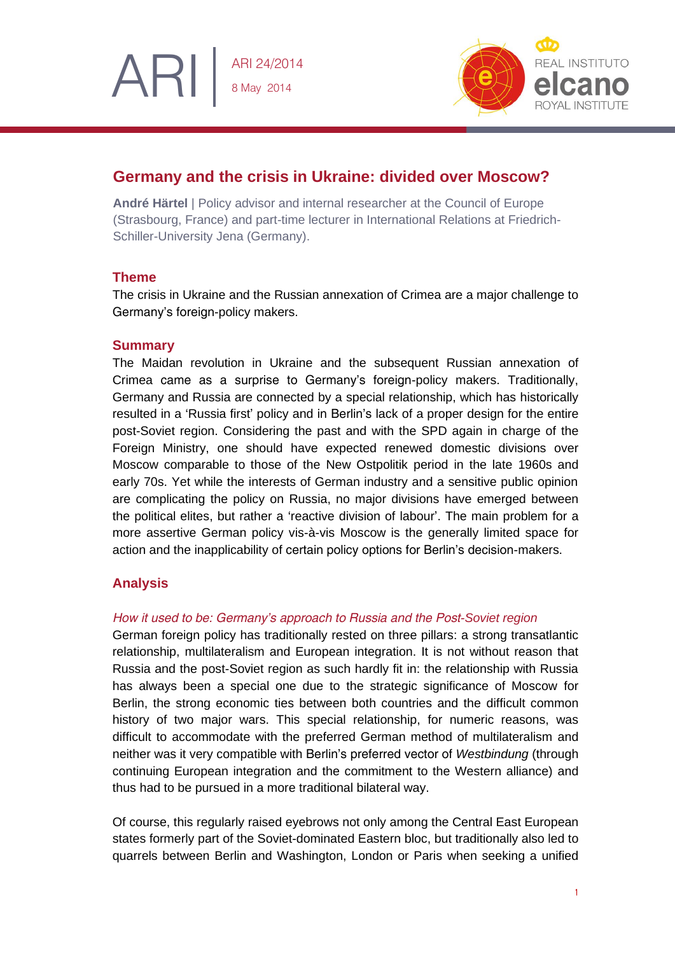

# **Germany and the crisis in Ukraine: divided over Moscow?**

**André Härtel** | Policy advisor and internal researcher at the Council of Europe (Strasbourg, France) and part-time lecturer in International Relations at Friedrich-Schiller-University Jena (Germany).

# **Theme**

ARI

The crisis in Ukraine and the Russian annexation of Crimea are a major challenge to Germany's foreign-policy makers.

## **Summary**

The Maidan revolution in Ukraine and the subsequent Russian annexation of Crimea came as a surprise to Germany's foreign-policy makers. Traditionally, Germany and Russia are connected by a special relationship, which has historically resulted in a 'Russia first' policy and in Berlin's lack of a proper design for the entire post-Soviet region. Considering the past and with the SPD again in charge of the Foreign Ministry, one should have expected renewed domestic divisions over Moscow comparable to those of the New Ostpolitik period in the late 1960s and early 70s. Yet while the interests of German industry and a sensitive public opinion are complicating the policy on Russia, no major divisions have emerged between the political elites, but rather a 'reactive division of labour'. The main problem for a more assertive German policy vis-à-vis Moscow is the generally limited space for action and the inapplicability of certain policy options for Berlin's decision-makers.

# **Analysis**

## *How it used to be: Germany's approach to Russia and the Post-Soviet region*

German foreign policy has traditionally rested on three pillars: a strong transatlantic relationship, multilateralism and European integration. It is not without reason that Russia and the post-Soviet region as such hardly fit in: the relationship with Russia has always been a special one due to the strategic significance of Moscow for Berlin, the strong economic ties between both countries and the difficult common history of two major wars. This special relationship, for numeric reasons, was difficult to accommodate with the preferred German method of multilateralism and neither was it very compatible with Berlin's preferred vector of *Westbindung* (through continuing European integration and the commitment to the Western alliance) and thus had to be pursued in a more traditional bilateral way.

Of course, this regularly raised eyebrows not only among the Central East European states formerly part of the Soviet-dominated Eastern bloc, but traditionally also led to quarrels between Berlin and Washington, London or Paris when seeking a unified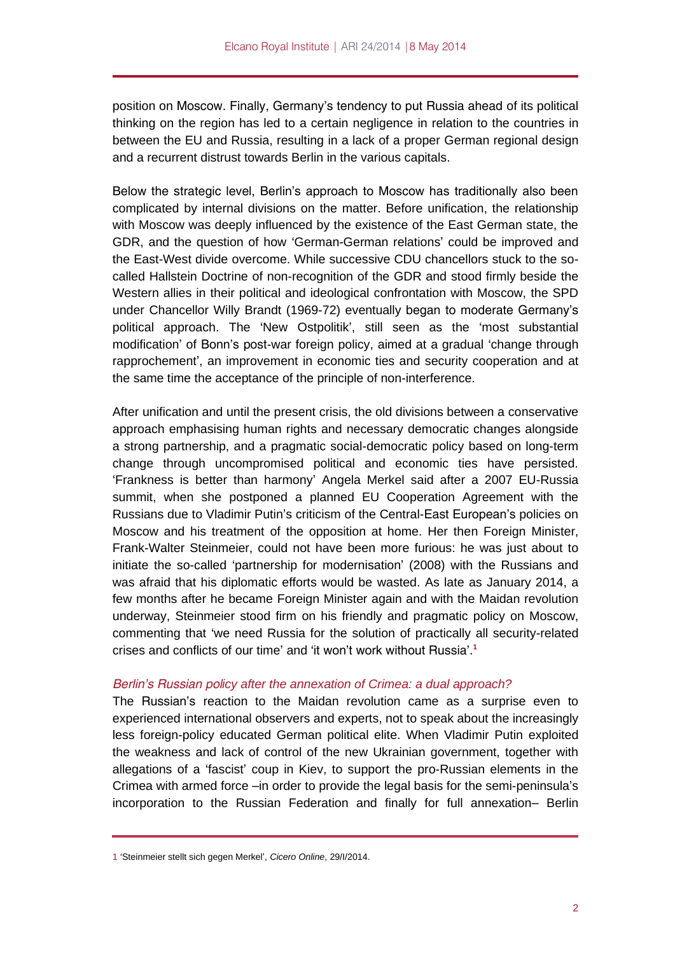position on Moscow. Finally, Germany's tendency to put Russia ahead of its political thinking on the region has led to a certain negligence in relation to the countries in between the EU and Russia, resulting in a lack of a proper German regional design and a recurrent distrust towards Berlin in the various capitals.

Below the strategic level, Berlin's approach to Moscow has traditionally also been complicated by internal divisions on the matter. Before unification, the relationship with Moscow was deeply influenced by the existence of the East German state, the GDR, and the question of how 'German-German relations' could be improved and the East-West divide overcome. While successive CDU chancellors stuck to the socalled Hallstein Doctrine of non-recognition of the GDR and stood firmly beside the Western allies in their political and ideological confrontation with Moscow, the SPD under Chancellor Willy Brandt (1969-72) eventually began to moderate Germany's political approach. The 'New Ostpolitik', still seen as the 'most substantial modification' of Bonn's post-war foreign policy, aimed at a gradual 'change through rapprochement', an improvement in economic ties and security cooperation and at the same time the acceptance of the principle of non-interference.

After unification and until the present crisis, the old divisions between a conservative approach emphasising human rights and necessary democratic changes alongside a strong partnership, and a pragmatic social-democratic policy based on long-term change through uncompromised political and economic ties have persisted. 'Frankness is better than harmony' Angela Merkel said after a 2007 EU-Russia summit, when she postponed a planned EU Cooperation Agreement with the Russians due to Vladimir Putin's criticism of the Central-East European's policies on Moscow and his treatment of the opposition at home. Her then Foreign Minister, Frank-Walter Steinmeier, could not have been more furious: he was just about to initiate the so-called 'partnership for modernisation' (2008) with the Russians and was afraid that his diplomatic efforts would be wasted. As late as January 2014, a few months after he became Foreign Minister again and with the Maidan revolution underway, Steinmeier stood firm on his friendly and pragmatic policy on Moscow, commenting that 'we need Russia for the solution of practically all security-related crises and conflicts of our time' and 'it won't work without Russia'.**<sup>1</sup>**

## *Berlin's Russian policy after the annexation of Crimea: a dual approach?*

The Russian's reaction to the Maidan revolution came as a surprise even to experienced international observers and experts, not to speak about the increasingly less foreign-policy educated German political elite. When Vladimir Putin exploited the weakness and lack of control of the new Ukrainian government, together with allegations of a 'fascist' coup in Kiev, to support the pro-Russian elements in the Crimea with armed force –in order to provide the legal basis for the semi-peninsula's incorporation to the Russian Federation and finally for full annexation– Berlin

<sup>1</sup> 'Steinmeier stellt sich gegen Merkel', *Cicero Online*, 29/I/2014.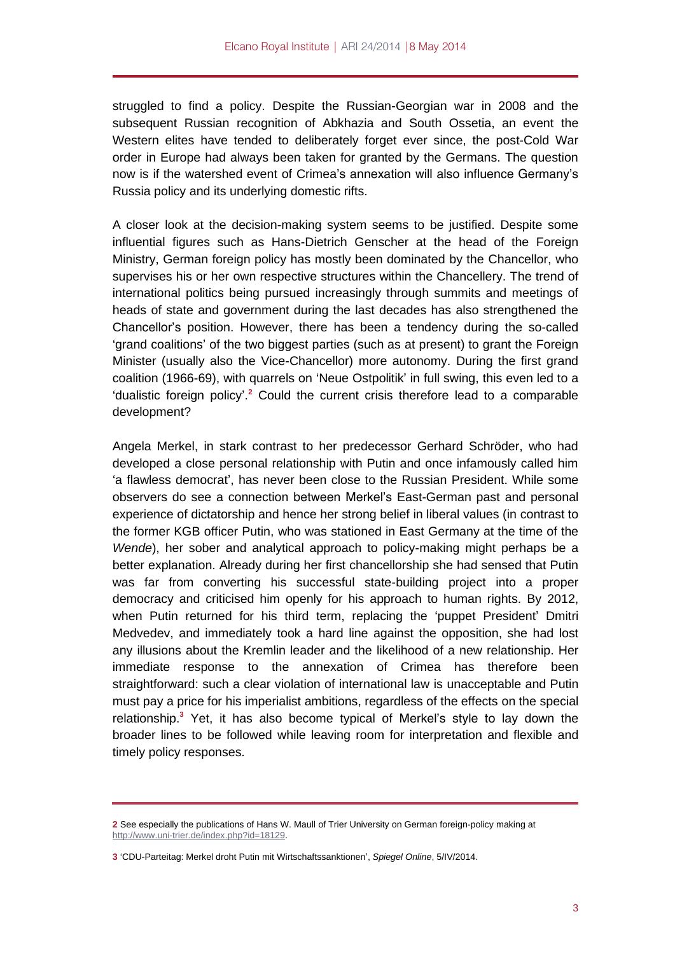struggled to find a policy. Despite the Russian-Georgian war in 2008 and the subsequent Russian recognition of Abkhazia and South Ossetia, an event the Western elites have tended to deliberately forget ever since, the post-Cold War order in Europe had always been taken for granted by the Germans. The question now is if the watershed event of Crimea's annexation will also influence Germany's Russia policy and its underlying domestic rifts.

A closer look at the decision-making system seems to be justified. Despite some influential figures such as Hans-Dietrich Genscher at the head of the Foreign Ministry, German foreign policy has mostly been dominated by the Chancellor, who supervises his or her own respective structures within the Chancellery. The trend of international politics being pursued increasingly through summits and meetings of heads of state and government during the last decades has also strengthened the Chancellor's position. However, there has been a tendency during the so-called 'grand coalitions' of the two biggest parties (such as at present) to grant the Foreign Minister (usually also the Vice-Chancellor) more autonomy. During the first grand coalition (1966-69), with quarrels on 'Neue Ostpolitik' in full swing, this even led to a 'dualistic foreign policy'. **<sup>2</sup>** Could the current crisis therefore lead to a comparable development?

Angela Merkel, in stark contrast to her predecessor Gerhard Schröder, who had developed a close personal relationship with Putin and once infamously called him 'a flawless democrat', has never been close to the Russian President. While some observers do see a connection between Merkel's East-German past and personal experience of dictatorship and hence her strong belief in liberal values (in contrast to the former KGB officer Putin, who was stationed in East Germany at the time of the *Wende*), her sober and analytical approach to policy-making might perhaps be a better explanation. Already during her first chancellorship she had sensed that Putin was far from converting his successful state-building project into a proper democracy and criticised him openly for his approach to human rights. By 2012, when Putin returned for his third term, replacing the 'puppet President' Dmitri Medvedev, and immediately took a hard line against the opposition, she had lost any illusions about the Kremlin leader and the likelihood of a new relationship. Her immediate response to the annexation of Crimea has therefore been straightforward: such a clear violation of international law is unacceptable and Putin must pay a price for his imperialist ambitions, regardless of the effects on the special relationship. **<sup>3</sup>** Yet, it has also become typical of Merkel's style to lay down the broader lines to be followed while leaving room for interpretation and flexible and timely policy responses.

**<sup>2</sup>** See especially the publications of Hans W. Maull of Trier University on German foreign-policy making at [http://www.uni-trier.de/index.php?id=18129.](http://www.uni-trier.de/index.php?id=18129)

**<sup>3</sup>** 'CDU-Parteitag: Merkel droht Putin mit Wirtschaftssanktionen', *Spiegel Online*, 5/IV/2014.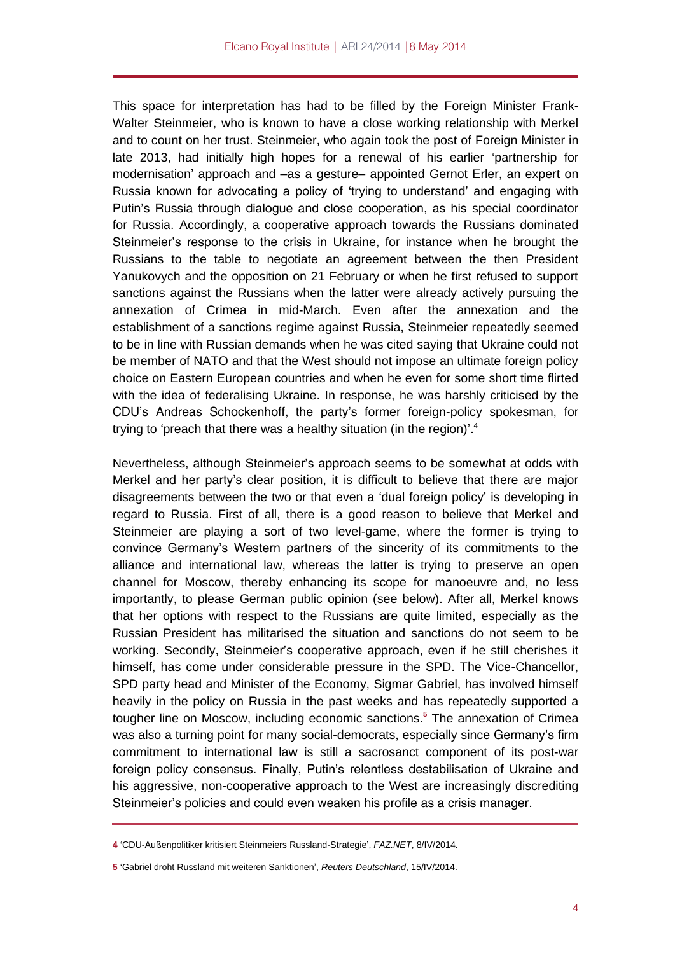This space for interpretation has had to be filled by the Foreign Minister Frank-Walter Steinmeier, who is known to have a close working relationship with Merkel and to count on her trust. Steinmeier, who again took the post of Foreign Minister in late 2013, had initially high hopes for a renewal of his earlier 'partnership for modernisation' approach and –as a gesture– appointed Gernot Erler, an expert on Russia known for advocating a policy of 'trying to understand' and engaging with Putin's Russia through dialogue and close cooperation, as his special coordinator for Russia. Accordingly, a cooperative approach towards the Russians dominated Steinmeier's response to the crisis in Ukraine, for instance when he brought the Russians to the table to negotiate an agreement between the then President Yanukovych and the opposition on 21 February or when he first refused to support sanctions against the Russians when the latter were already actively pursuing the annexation of Crimea in mid-March. Even after the annexation and the establishment of a sanctions regime against Russia, Steinmeier repeatedly seemed to be in line with Russian demands when he was cited saying that Ukraine could not be member of NATO and that the West should not impose an ultimate foreign policy choice on Eastern European countries and when he even for some short time flirted with the idea of federalising Ukraine. In response, he was harshly criticised by the CDU's Andreas Schockenhoff, the party's former foreign-policy spokesman, for trying to 'preach that there was a healthy situation (in the region)'.<sup>4</sup>

Nevertheless, although Steinmeier's approach seems to be somewhat at odds with Merkel and her party's clear position, it is difficult to believe that there are major disagreements between the two or that even a 'dual foreign policy' is developing in regard to Russia. First of all, there is a good reason to believe that Merkel and Steinmeier are playing a sort of two level-game, where the former is trying to convince Germany's Western partners of the sincerity of its commitments to the alliance and international law, whereas the latter is trying to preserve an open channel for Moscow, thereby enhancing its scope for manoeuvre and, no less importantly, to please German public opinion (see below). After all, Merkel knows that her options with respect to the Russians are quite limited, especially as the Russian President has militarised the situation and sanctions do not seem to be working. Secondly, Steinmeier's cooperative approach, even if he still cherishes it himself, has come under considerable pressure in the SPD. The Vice-Chancellor, SPD party head and Minister of the Economy, Sigmar Gabriel, has involved himself heavily in the policy on Russia in the past weeks and has repeatedly supported a tougher line on Moscow, including economic sanctions. **<sup>5</sup>** The annexation of Crimea was also a turning point for many social-democrats, especially since Germany's firm commitment to international law is still a sacrosanct component of its post-war foreign policy consensus. Finally, Putin's relentless destabilisation of Ukraine and his aggressive, non-cooperative approach to the West are increasingly discrediting Steinmeier's policies and could even weaken his profile as a crisis manager.

**<sup>4</sup>** 'CDU-Außenpolitiker kritisiert Steinmeiers Russland-Strategie', *FAZ.NET*, 8/IV/2014.

**<sup>5</sup>** 'Gabriel droht Russland mit weiteren Sanktionen', *Reuters Deutschland*, 15/IV/2014.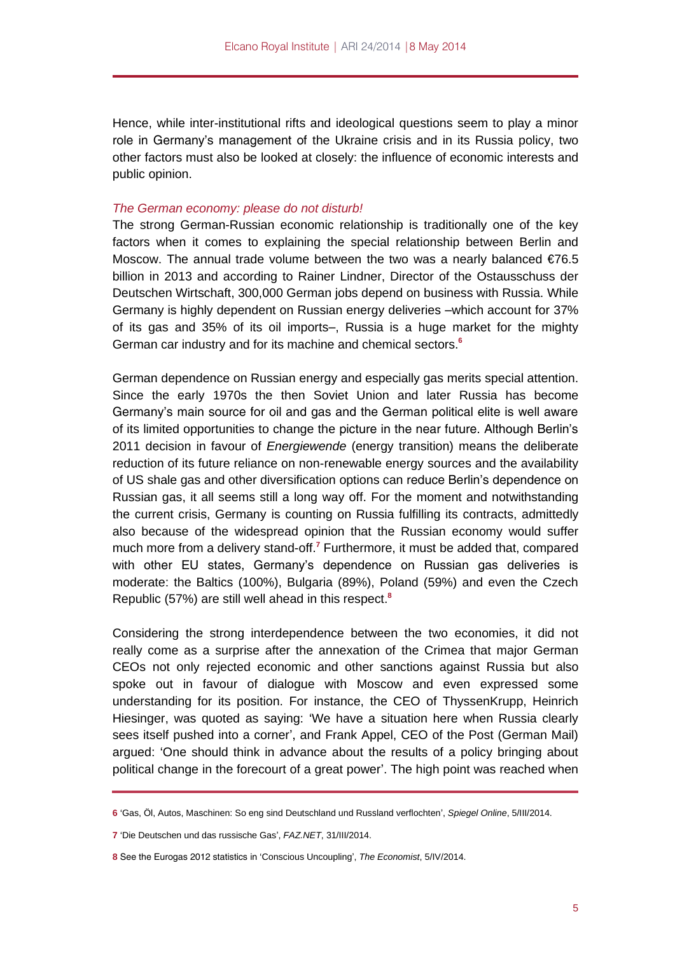Hence, while inter-institutional rifts and ideological questions seem to play a minor role in Germany's management of the Ukraine crisis and in its Russia policy, two other factors must also be looked at closely: the influence of economic interests and public opinion.

## *The German economy: please do not disturb!*

The strong German-Russian economic relationship is traditionally one of the key factors when it comes to explaining the special relationship between Berlin and Moscow. The annual trade volume between the two was a nearly balanced €76.5 billion in 2013 and according to Rainer Lindner, Director of the Ostausschuss der Deutschen Wirtschaft, 300,000 German jobs depend on business with Russia. While Germany is highly dependent on Russian energy deliveries –which account for 37% of its gas and 35% of its oil imports–, Russia is a huge market for the mighty German car industry and for its machine and chemical sectors. **6**

German dependence on Russian energy and especially gas merits special attention. Since the early 1970s the then Soviet Union and later Russia has become Germany's main source for oil and gas and the German political elite is well aware of its limited opportunities to change the picture in the near future. Although Berlin's 2011 decision in favour of *Energiewende* (energy transition) means the deliberate reduction of its future reliance on non-renewable energy sources and the availability of US shale gas and other diversification options can reduce Berlin's dependence on Russian gas, it all seems still a long way off. For the moment and notwithstanding the current crisis, Germany is counting on Russia fulfilling its contracts, admittedly also because of the widespread opinion that the Russian economy would suffer much more from a delivery stand-off.<sup>7</sup> Furthermore, it must be added that, compared with other EU states, Germany's dependence on Russian gas deliveries is moderate: the Baltics (100%), Bulgaria (89%), Poland (59%) and even the Czech Republic (57%) are still well ahead in this respect. **8**

Considering the strong interdependence between the two economies, it did not really come as a surprise after the annexation of the Crimea that major German CEOs not only rejected economic and other sanctions against Russia but also spoke out in favour of dialogue with Moscow and even expressed some understanding for its position. For instance, the CEO of ThyssenKrupp, Heinrich Hiesinger, was quoted as saying: 'We have a situation here when Russia clearly sees itself pushed into a corner', and Frank Appel, CEO of the Post (German Mail) argued: 'One should think in advance about the results of a policy bringing about political change in the forecourt of a great power'. The high point was reached when

**<sup>6</sup>** 'Gas, Öl, Autos, Maschinen: So eng sind Deutschland und Russland verflochten', *Spiegel Online*, 5/III/2014.

**<sup>7</sup>** 'Die Deutschen und das russische Gas', *FAZ.NET*, 31/III/2014.

**<sup>8</sup>** See the Eurogas 2012 statistics in 'Conscious Uncoupling', *The Economist*, 5/IV/2014.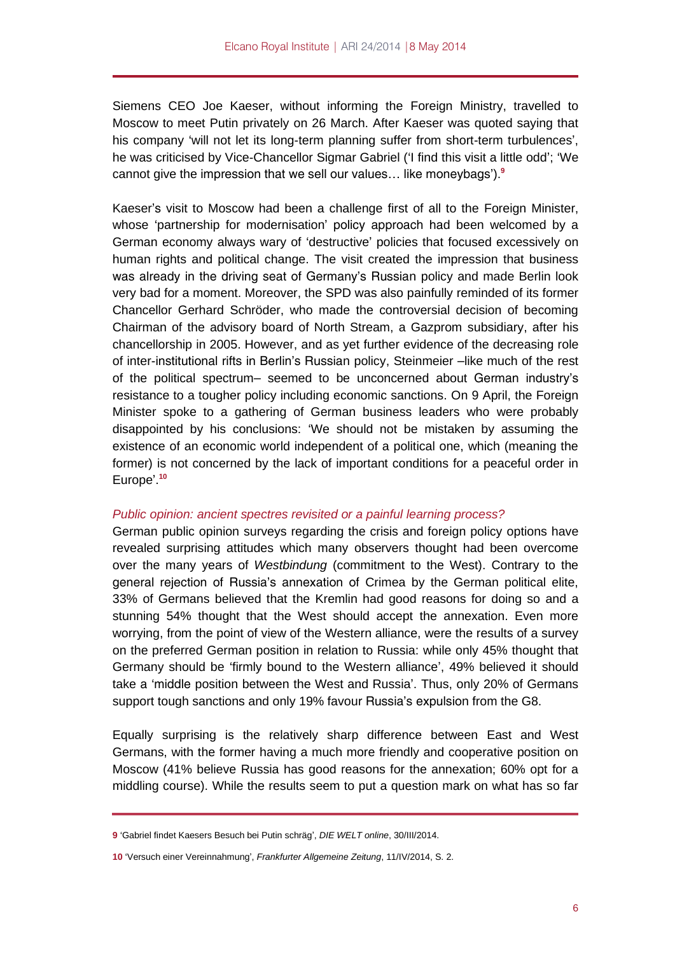Siemens CEO Joe Kaeser, without informing the Foreign Ministry, travelled to Moscow to meet Putin privately on 26 March. After Kaeser was quoted saying that his company 'will not let its long-term planning suffer from short-term turbulences', he was criticised by Vice-Chancellor Sigmar Gabriel ('I find this visit a little odd'; 'We cannot give the impression that we sell our values… like moneybags').**<sup>9</sup>**

Kaeser's visit to Moscow had been a challenge first of all to the Foreign Minister, whose 'partnership for modernisation' policy approach had been welcomed by a German economy always wary of 'destructive' policies that focused excessively on human rights and political change. The visit created the impression that business was already in the driving seat of Germany's Russian policy and made Berlin look very bad for a moment. Moreover, the SPD was also painfully reminded of its former Chancellor Gerhard Schröder, who made the controversial decision of becoming Chairman of the advisory board of North Stream, a Gazprom subsidiary, after his chancellorship in 2005. However, and as yet further evidence of the decreasing role of inter-institutional rifts in Berlin's Russian policy, Steinmeier –like much of the rest of the political spectrum– seemed to be unconcerned about German industry's resistance to a tougher policy including economic sanctions. On 9 April, the Foreign Minister spoke to a gathering of German business leaders who were probably disappointed by his conclusions: 'We should not be mistaken by assuming the existence of an economic world independent of a political one, which (meaning the former) is not concerned by the lack of important conditions for a peaceful order in Europe'. **10**

## *Public opinion: ancient spectres revisited or a painful learning process?*

German public opinion surveys regarding the crisis and foreign policy options have revealed surprising attitudes which many observers thought had been overcome over the many years of *Westbindung* (commitment to the West). Contrary to the general rejection of Russia's annexation of Crimea by the German political elite, 33% of Germans believed that the Kremlin had good reasons for doing so and a stunning 54% thought that the West should accept the annexation. Even more worrying, from the point of view of the Western alliance, were the results of a survey on the preferred German position in relation to Russia: while only 45% thought that Germany should be 'firmly bound to the Western alliance', 49% believed it should take a 'middle position between the West and Russia'. Thus, only 20% of Germans support tough sanctions and only 19% favour Russia's expulsion from the G8.

Equally surprising is the relatively sharp difference between East and West Germans, with the former having a much more friendly and cooperative position on Moscow (41% believe Russia has good reasons for the annexation; 60% opt for a middling course). While the results seem to put a question mark on what has so far

**<sup>9</sup>** 'Gabriel findet Kaesers Besuch bei Putin schräg', *DIE WELT online*, 30/III/2014.

**<sup>10</sup>** 'Versuch einer Vereinnahmung', *Frankfurter Allgemeine Zeitung*, 11/IV/2014, S. 2.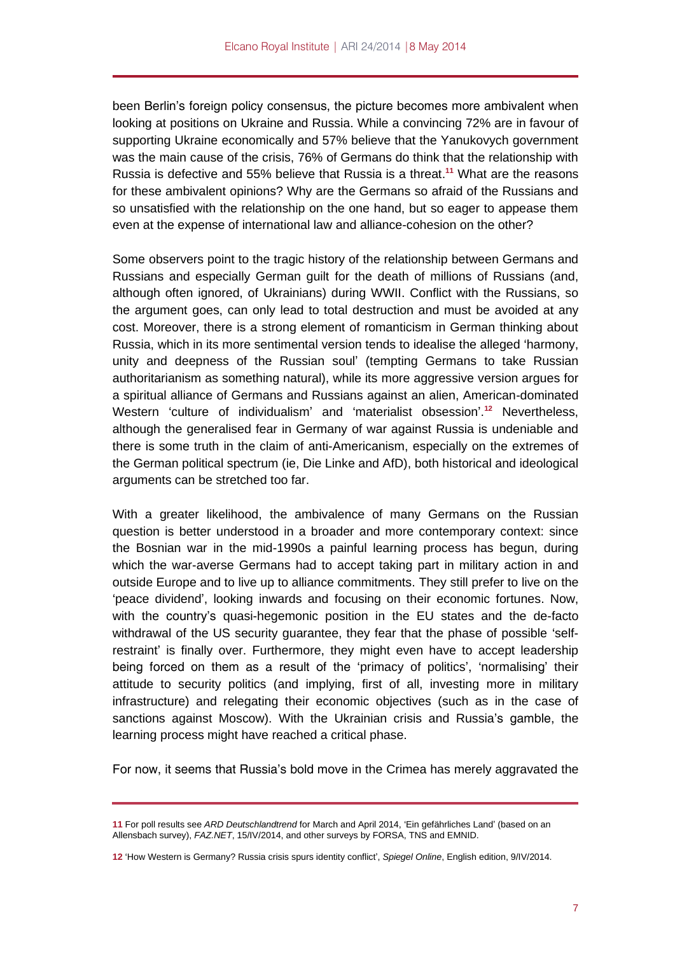been Berlin's foreign policy consensus, the picture becomes more ambivalent when looking at positions on Ukraine and Russia. While a convincing 72% are in favour of supporting Ukraine economically and 57% believe that the Yanukovych government was the main cause of the crisis, 76% of Germans do think that the relationship with Russia is defective and 55% believe that Russia is a threat. **<sup>11</sup>** What are the reasons for these ambivalent opinions? Why are the Germans so afraid of the Russians and so unsatisfied with the relationship on the one hand, but so eager to appease them even at the expense of international law and alliance-cohesion on the other?

Some observers point to the tragic history of the relationship between Germans and Russians and especially German guilt for the death of millions of Russians (and, although often ignored, of Ukrainians) during WWII. Conflict with the Russians, so the argument goes, can only lead to total destruction and must be avoided at any cost. Moreover, there is a strong element of romanticism in German thinking about Russia, which in its more sentimental version tends to idealise the alleged 'harmony, unity and deepness of the Russian soul' (tempting Germans to take Russian authoritarianism as something natural), while its more aggressive version argues for a spiritual alliance of Germans and Russians against an alien, American-dominated Western 'culture of individualism' and 'materialist obsession'. **<sup>12</sup>** Nevertheless, although the generalised fear in Germany of war against Russia is undeniable and there is some truth in the claim of anti-Americanism, especially on the extremes of the German political spectrum (ie, Die Linke and AfD), both historical and ideological arguments can be stretched too far.

With a greater likelihood, the ambivalence of many Germans on the Russian question is better understood in a broader and more contemporary context: since the Bosnian war in the mid-1990s a painful learning process has begun, during which the war-averse Germans had to accept taking part in military action in and outside Europe and to live up to alliance commitments. They still prefer to live on the 'peace dividend', looking inwards and focusing on their economic fortunes. Now, with the country's quasi-hegemonic position in the EU states and the de-facto withdrawal of the US security guarantee, they fear that the phase of possible 'selfrestraint' is finally over. Furthermore, they might even have to accept leadership being forced on them as a result of the 'primacy of politics', 'normalising' their attitude to security politics (and implying, first of all, investing more in military infrastructure) and relegating their economic objectives (such as in the case of sanctions against Moscow). With the Ukrainian crisis and Russia's gamble, the learning process might have reached a critical phase.

For now, it seems that Russia's bold move in the Crimea has merely aggravated the

**<sup>11</sup>** For poll results see *ARD Deutschlandtrend* for March and April 2014, 'Ein gefährliches Land' (based on an Allensbach survey), *FAZ.NET*, 15/IV/2014, and other surveys by FORSA, TNS and EMNID.

**<sup>12</sup>** 'How Western is Germany? Russia crisis spurs identity conflict', *Spiegel Online*, English edition, 9/IV/2014.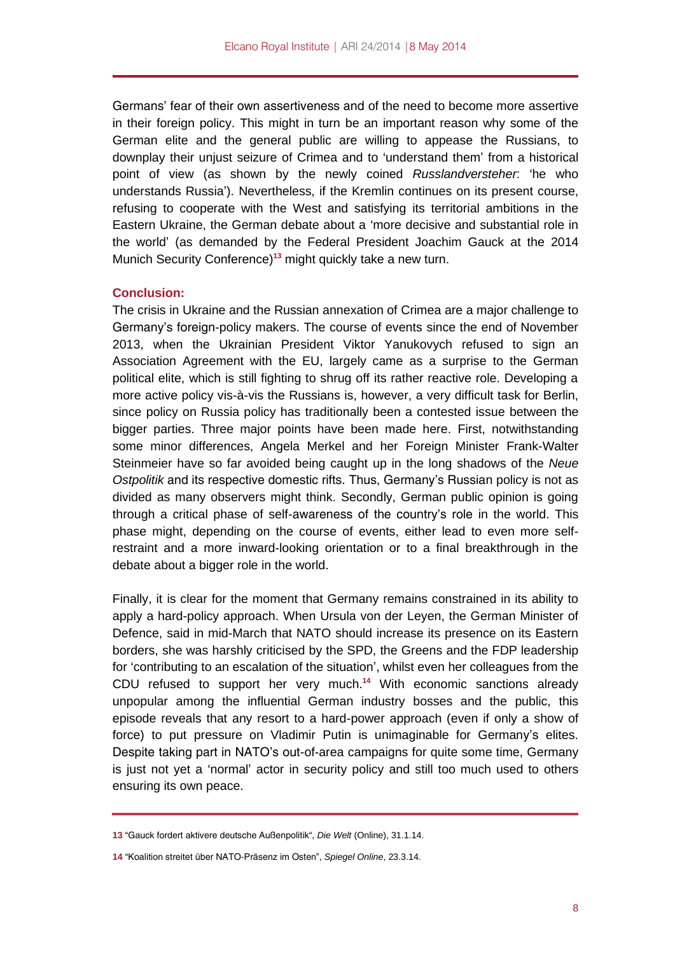Germans' fear of their own assertiveness and of the need to become more assertive in their foreign policy. This might in turn be an important reason why some of the German elite and the general public are willing to appease the Russians, to downplay their unjust seizure of Crimea and to 'understand them' from a historical point of view (as shown by the newly coined *Russlandversteher*: 'he who understands Russia'). Nevertheless, if the Kremlin continues on its present course, refusing to cooperate with the West and satisfying its territorial ambitions in the Eastern Ukraine, the German debate about a 'more decisive and substantial role in the world' (as demanded by the Federal President Joachim Gauck at the 2014 Munich Security Conference) **<sup>13</sup>** might quickly take a new turn.

#### **Conclusion:**

The crisis in Ukraine and the Russian annexation of Crimea are a major challenge to Germany's foreign-policy makers. The course of events since the end of November 2013, when the Ukrainian President Viktor Yanukovych refused to sign an Association Agreement with the EU, largely came as a surprise to the German political elite, which is still fighting to shrug off its rather reactive role. Developing a more active policy vis-à-vis the Russians is, however, a very difficult task for Berlin, since policy on Russia policy has traditionally been a contested issue between the bigger parties. Three major points have been made here. First, notwithstanding some minor differences, Angela Merkel and her Foreign Minister Frank-Walter Steinmeier have so far avoided being caught up in the long shadows of the *Neue Ostpolitik* and its respective domestic rifts. Thus, Germany's Russian policy is not as divided as many observers might think. Secondly, German public opinion is going through a critical phase of self-awareness of the country's role in the world. This phase might, depending on the course of events, either lead to even more selfrestraint and a more inward-looking orientation or to a final breakthrough in the debate about a bigger role in the world.

Finally, it is clear for the moment that Germany remains constrained in its ability to apply a hard-policy approach. When Ursula von der Leyen, the German Minister of Defence, said in mid-March that NATO should increase its presence on its Eastern borders, she was harshly criticised by the SPD, the Greens and the FDP leadership for 'contributing to an escalation of the situation', whilst even her colleagues from the CDU refused to support her very much. **<sup>14</sup>** With economic sanctions already unpopular among the influential German industry bosses and the public, this episode reveals that any resort to a hard-power approach (even if only a show of force) to put pressure on Vladimir Putin is unimaginable for Germany's elites. Despite taking part in NATO's out-of-area campaigns for quite some time, Germany is just not yet a 'normal' actor in security policy and still too much used to others ensuring its own peace.

**<sup>13</sup>** "Gauck fordert aktivere deutsche Außenpolitik", *Die Welt* (Online), 31.1.14.

**<sup>14</sup>** "Koalition streitet über NATO-Präsenz im Osten", *Spiegel Online*, 23.3.14.